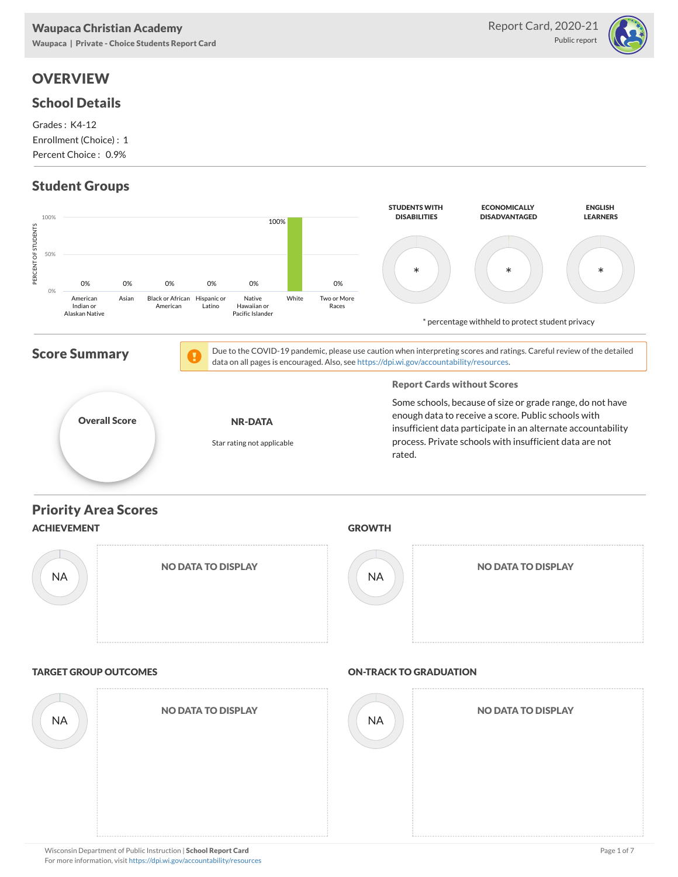# **OVERVIEW**

#### School Details

Grades : K4-12 Enrollment (Choice) : 1 Percent Choice : 0.9%

## Student Groups



Report Card, 2020-21

Public report

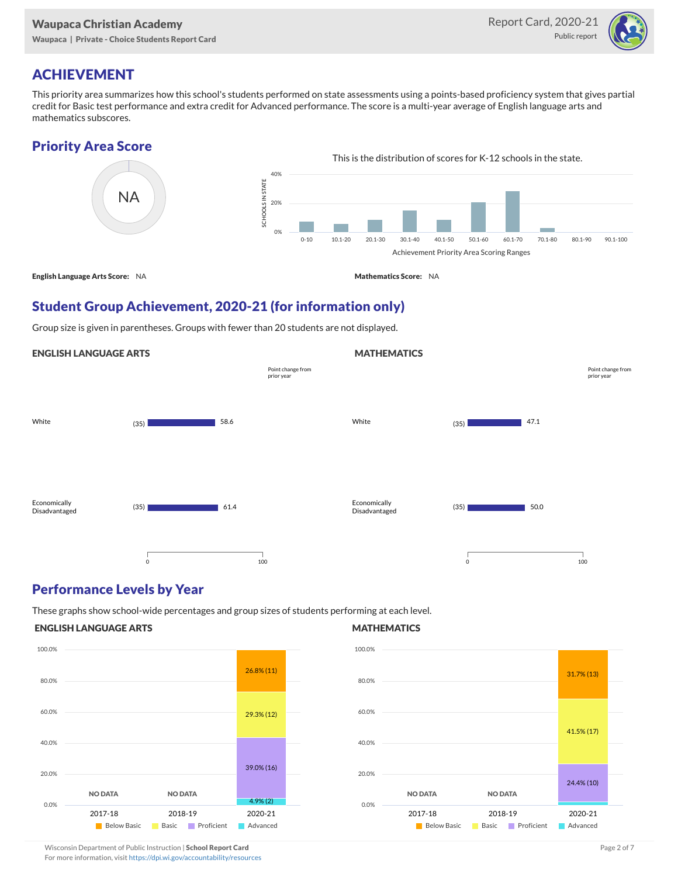

## ACHIEVEMENT

This priority area summarizes how this school's students performed on state assessments using a points-based proficiency system that gives partial credit for Basic test performance and extra credit for Advanced performance. The score is a multi-year average of English language arts and mathematics subscores.

### Priority Area Score



### Student Group Achievement, 2020-21 (for information only)

Group size is given in parentheses. Groups with fewer than 20 students are not displayed.

#### ENGLISH LANGUAGE ARTS



### Performance Levels by Year

These graphs show school-wide percentages and group sizes of students performing at each level.

#### ENGLISH LANGUAGE ARTS



#### **MATHEMATICS**

**MATHEMATICS** 



Wisconsin Department of Public Instruction | School Report Card Page 2 of 7 and 2008 and 2009 and 2 of 7 and 2 of 7

For more information, visit <https://dpi.wi.gov/accountability/resources>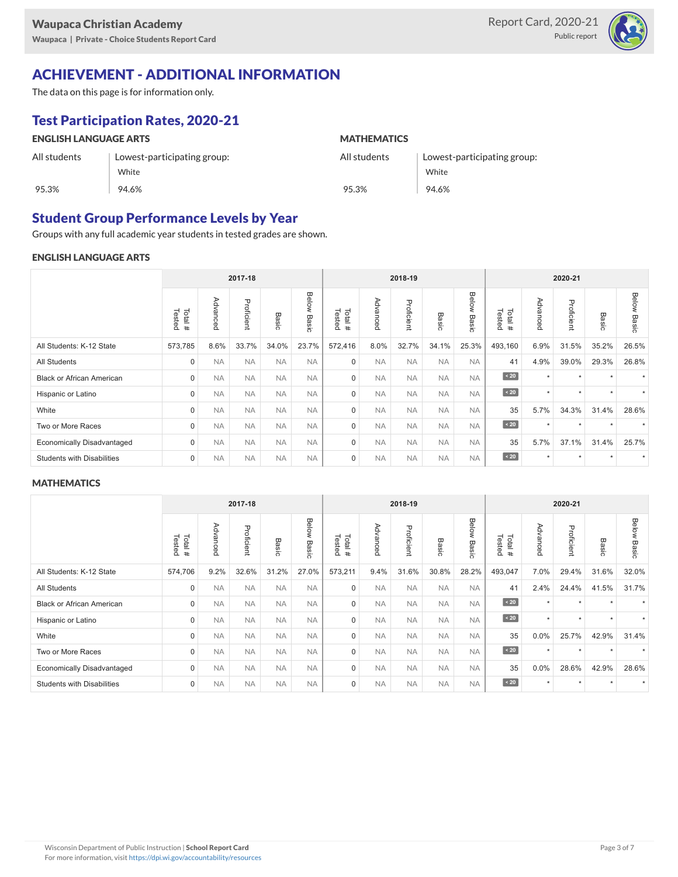

## ACHIEVEMENT - ADDITIONAL INFORMATION

The data on this page is for information only.

## Test Participation Rates, 2020-21

| <b>ENGLISH LANGUAGE ARTS</b> |                             | <b>MATHEMATICS</b> |                             |  |  |  |  |
|------------------------------|-----------------------------|--------------------|-----------------------------|--|--|--|--|
| All students                 | Lowest-participating group: | All students       | Lowest-participating group: |  |  |  |  |
|                              | White                       |                    | White                       |  |  |  |  |
| 95.3%                        | 94.6%                       | 95.3%              | 94.6%                       |  |  |  |  |

### Student Group Performance Levels by Year

Groups with any full academic year students in tested grades are shown.

#### ENGLISH LANGUAGE ARTS

|                                   | 2017-18          |           |            |           |                       |                  | 2018-19   |            |                 |                |                   | 2020-21             |            |                      |                       |  |
|-----------------------------------|------------------|-----------|------------|-----------|-----------------------|------------------|-----------|------------|-----------------|----------------|-------------------|---------------------|------------|----------------------|-----------------------|--|
|                                   | Tested<br>Total# | Advanced  | Proficient | Basic     | Below<br><b>Basic</b> | Tested<br>Total# | Advanced  | Proficient | Basi<br>$\circ$ | Below<br>Basic | Tested<br>Total # | Advance<br>$\Omega$ | Proficient | Basic                | Below<br><b>Basic</b> |  |
| All Students: K-12 State          | 573,785          | 8.6%      | 33.7%      | 34.0%     | 23.7%                 | 572,416          | 8.0%      | 32.7%      | 34.1%           | 25.3%          | 493,160           | 6.9%                | 31.5%      | 35.2%                | 26.5%                 |  |
| <b>All Students</b>               | $\mathbf 0$      | <b>NA</b> | <b>NA</b>  | <b>NA</b> | <b>NA</b>             | $\mathbf 0$      | <b>NA</b> | <b>NA</b>  | <b>NA</b>       | <b>NA</b>      | 41                | 4.9%                | 39.0%      | 29.3%                | 26.8%                 |  |
| <b>Black or African American</b>  | $\mathbf 0$      | <b>NA</b> | <b>NA</b>  | <b>NA</b> | <b>NA</b>             | $\mathbf 0$      | <b>NA</b> | <b>NA</b>  | <b>NA</b>       | <b>NA</b>      | $\angle 20$       | $\star$             | $\star$    |                      |                       |  |
| Hispanic or Latino                | $\mathbf 0$      | <b>NA</b> | <b>NA</b>  | <b>NA</b> | <b>NA</b>             | $\mathbf 0$      | <b>NA</b> | <b>NA</b>  | <b>NA</b>       | <b>NA</b>      | $\sim 20$         | $\star$             | ٠          | $\ddot{\phantom{1}}$ |                       |  |
| White                             | $\mathbf 0$      | <b>NA</b> | <b>NA</b>  | <b>NA</b> | <b>NA</b>             | $\mathbf 0$      | <b>NA</b> | <b>NA</b>  | <b>NA</b>       | <b>NA</b>      | 35                | 5.7%                | 34.3%      | 31.4%                | 28.6%                 |  |
| Two or More Races                 | $\mathbf 0$      | <b>NA</b> | <b>NA</b>  | <b>NA</b> | <b>NA</b>             | $\mathbf 0$      | <b>NA</b> | <b>NA</b>  | <b>NA</b>       | <b>NA</b>      | $\sim 20$         | $\star$             | $\star$    |                      |                       |  |
| <b>Economically Disadvantaged</b> | $\mathbf 0$      | <b>NA</b> | <b>NA</b>  | <b>NA</b> | <b>NA</b>             | $\mathbf 0$      | <b>NA</b> | <b>NA</b>  | <b>NA</b>       | <b>NA</b>      | 35                | 5.7%                | 37.1%      | 31.4%                | 25.7%                 |  |
| <b>Students with Disabilities</b> | $\mathbf 0$      | <b>NA</b> | <b>NA</b>  | <b>NA</b> | <b>NA</b>             | $\mathbf 0$      | <b>NA</b> | <b>NA</b>  | <b>NA</b>       | <b>NA</b>      | $\sim 20$         | $\star$             | $\star$    |                      |                       |  |

#### **MATHEMATICS**

|                                   |                  | 2017-18   |            |           | 2018-19        |                  |           |            | 2020-21   |                |                  |              |            |         |                       |
|-----------------------------------|------------------|-----------|------------|-----------|----------------|------------------|-----------|------------|-----------|----------------|------------------|--------------|------------|---------|-----------------------|
|                                   | Tested<br>Total# | Advanced  | Proficient | Basic     | Below<br>Basic | Tested<br>Total# | Advanced  | Proficient | Basic     | Below<br>Basic | Tested<br>Total# | Advance<br>Õ | Proficient | Basic   | <b>Below</b><br>Basic |
| All Students: K-12 State          | 574,706          | 9.2%      | 32.6%      | 31.2%     | 27.0%          | 573,211          | 9.4%      | 31.6%      | 30.8%     | 28.2%          | 493,047          | 7.0%         | 29.4%      | 31.6%   | 32.0%                 |
| <b>All Students</b>               | $\mathbf 0$      | <b>NA</b> | <b>NA</b>  | <b>NA</b> | <b>NA</b>      | $\mathbf 0$      | <b>NA</b> | <b>NA</b>  | <b>NA</b> | <b>NA</b>      | 41               | 2.4%         | 24.4%      | 41.5%   | 31.7%                 |
| <b>Black or African American</b>  | $\mathbf 0$      | <b>NA</b> | <b>NA</b>  | <b>NA</b> | <b>NA</b>      | $\mathbf 0$      | <b>NA</b> | <b>NA</b>  | <b>NA</b> | <b>NA</b>      | $\angle 20$      | $\star$      | $\star$    |         |                       |
| Hispanic or Latino                | $\mathbf 0$      | <b>NA</b> | <b>NA</b>  | <b>NA</b> | <b>NA</b>      | $\mathbf 0$      | <b>NA</b> | <b>NA</b>  | <b>NA</b> | <b>NA</b>      | $\angle 20$      | $\star$      | $\star$    | $\star$ |                       |
| White                             | $\Omega$         | <b>NA</b> | <b>NA</b>  | <b>NA</b> | <b>NA</b>      | $\Omega$         | <b>NA</b> | <b>NA</b>  | <b>NA</b> | <b>NA</b>      | 35               | 0.0%         | 25.7%      | 42.9%   | 31.4%                 |
| Two or More Races                 | $\mathbf 0$      | <b>NA</b> | <b>NA</b>  | <b>NA</b> | <b>NA</b>      | 0                | <b>NA</b> | <b>NA</b>  | <b>NA</b> | <b>NA</b>      | $\angle 20$      | $\star$      | ٠          |         |                       |
| <b>Economically Disadvantaged</b> | $\mathbf 0$      | <b>NA</b> | <b>NA</b>  | <b>NA</b> | <b>NA</b>      | 0                | <b>NA</b> | <b>NA</b>  | <b>NA</b> | <b>NA</b>      | 35               | 0.0%         | 28.6%      | 42.9%   | 28.6%                 |
| <b>Students with Disabilities</b> | $\mathbf 0$      | <b>NA</b> | <b>NA</b>  | <b>NA</b> | <b>NA</b>      | $\mathbf 0$      | <b>NA</b> | <b>NA</b>  | <b>NA</b> | <b>NA</b>      | $\angle 20$      | $\star$      | $\star$    |         |                       |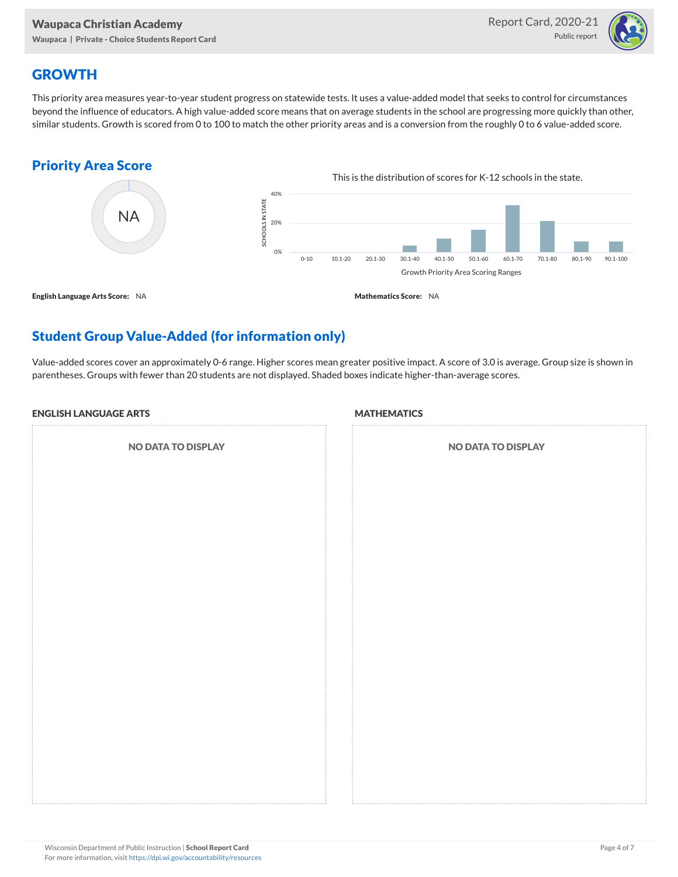

## **GROWTH**

This priority area measures year-to-year student progress on statewide tests. It uses a value-added model that seeks to control for circumstances beyond the influence of educators. A high value-added score means that on average students in the school are progressing more quickly than other, similar students. Growth is scored from 0 to 100 to match the other priority areas and is a conversion from the roughly 0 to 6 value-added score.

### Priority Area Score



# Student Group Value-Added (for information only)

Value-added scores cover an approximately 0-6 range. Higher scores mean greater positive impact. A score of 3.0 is average. Group size is shown in parentheses. Groups with fewer than 20 students are not displayed. Shaded boxes indicate higher-than-average scores.

#### ENGLISH LANGUAGE ARTS

NO DATA TO DISPLAY

#### **MATHEMATICS**

| <b>NO DATA TO DISPLAY</b> |
|---------------------------|
|                           |
|                           |
|                           |
|                           |
|                           |
|                           |
|                           |
|                           |
|                           |
|                           |
|                           |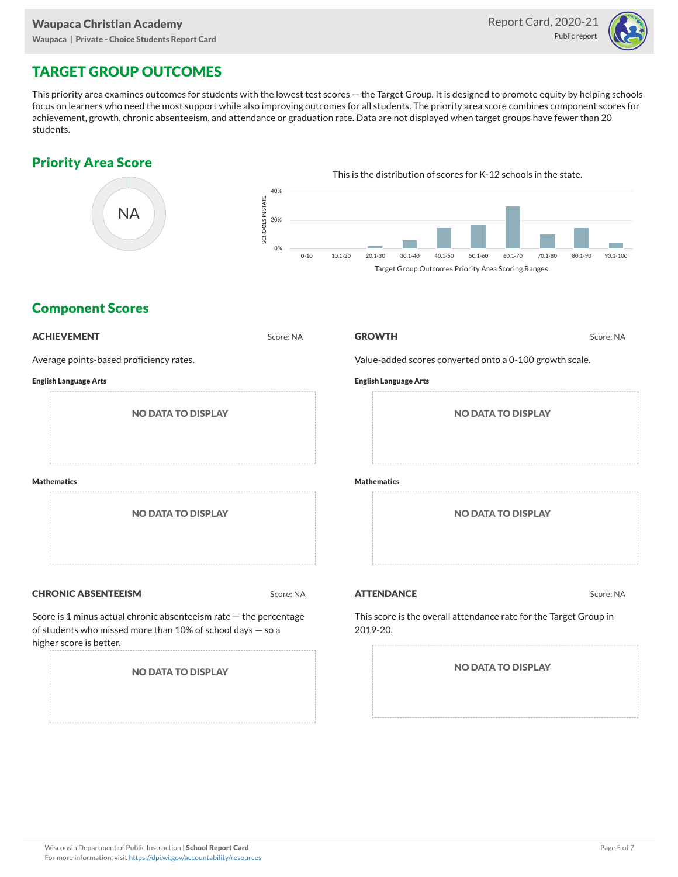

# TARGET GROUP OUTCOMES

This priority area examines outcomes for students with the lowest test scores — the Target Group. It is designed to promote equity by helping schools focus on learners who need the most support while also improving outcomes for all students. The priority area score combines component scores for achievement, growth, chronic absenteeism, and attendance or graduation rate. Data are not displayed when target groups have fewer than 20 students.

## Priority Area Score



### Component Scores

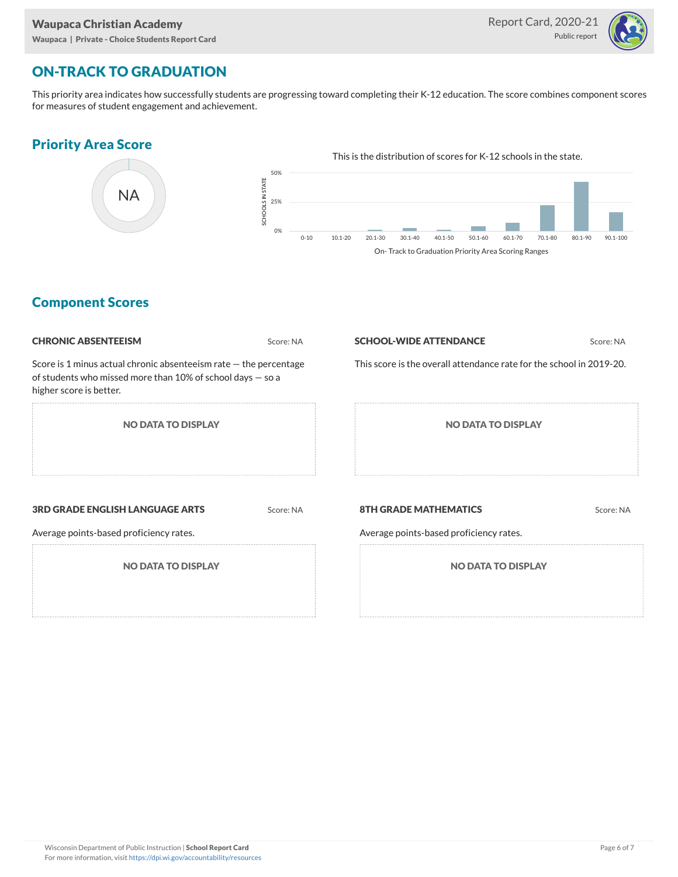

## ON-TRACK TO GRADUATION

This priority area indicates how successfully students are progressing toward completing their K-12 education. The score combines component scores for measures of student engagement and achievement.

#### Priority Area Score



### Component Scores

| <b>CHRONIC ABSENTEEISM</b>                                                                                                                                     | Score: NA | <b>SCHOOL-WIDE ATTENDANCE</b>                                           | Score: NA |  |  |  |  |  |
|----------------------------------------------------------------------------------------------------------------------------------------------------------------|-----------|-------------------------------------------------------------------------|-----------|--|--|--|--|--|
| Score is 1 minus actual chronic absenteeism rate $-$ the percentage<br>of students who missed more than 10% of school days $-$ so a<br>higher score is better. |           | This score is the overall attendance rate for the school in 2019-20.    |           |  |  |  |  |  |
| <b>NO DATA TO DISPLAY</b>                                                                                                                                      |           | <b>NO DATA TO DISPLAY</b>                                               |           |  |  |  |  |  |
| <b>3RD GRADE ENGLISH LANGUAGE ARTS</b><br>Average points-based proficiency rates.                                                                              | Score: NA | <b>8TH GRADE MATHEMATICS</b><br>Average points-based proficiency rates. | Score: NA |  |  |  |  |  |
| <b>NO DATA TO DISPLAY</b>                                                                                                                                      |           | <b>NO DATA TO DISPLAY</b>                                               |           |  |  |  |  |  |